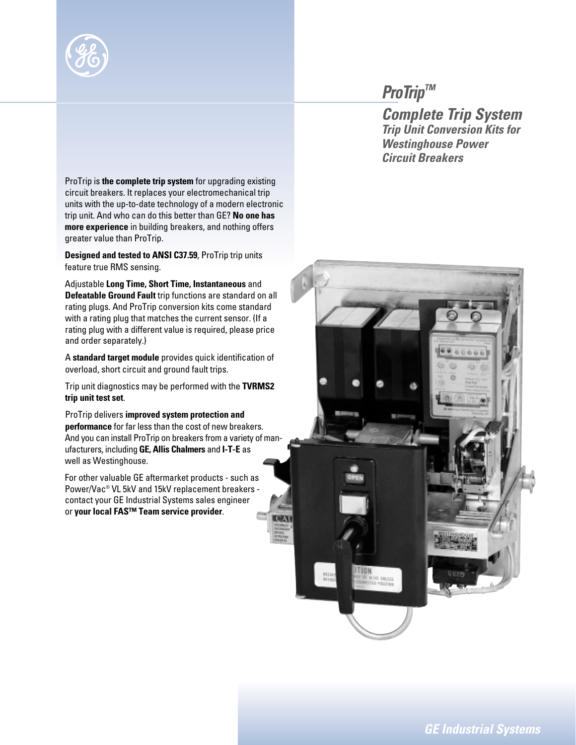

## *ProTrip™*

*Complete Trip System Trip Unit Conversion Kits for Westinghouse Power Circuit Breakers*

ProTrip is **the complete trip system** for upgrading existing circuit breakers. It replaces your electromechanical trip units with the up-to-date technology of a modern electronic trip unit. And who can do this better than GE? **No one has more experience** in building breakers, and nothing offers greater value than ProTrip.

**Designed and tested to ANSI C37.59**, ProTrip trip units feature true RMS sensing.

Adjustable **Long Time, Short Time, Instantaneous** and **Defeatable Ground Fault** trip functions are standard on all rating plugs. And ProTrip conversion kits come standard with a rating plug that matches the current sensor. (If a rating plug with a different value is required, please price and order separately.)

A **standard target module** provides quick identification of overload, short circuit and ground fault trips.

Trip unit diagnostics may be performed with the **TVRMS2 trip unit test set**.

ProTrip delivers **improved system protection and performance** for far less than the cost of new breakers. And you can install ProTrip on breakers from a variety of manufacturers, including **GE, Allis Chalmers** and **I-T-E** as well as Westinghouse.

For other valuable GE aftermarket products - such as Power/Vac® VL 5kV and 15kV replacement breakers contact your GE Industrial Systems sales engineer or **your local FAS™ Team service provider**.

*GE Industrial Systems*